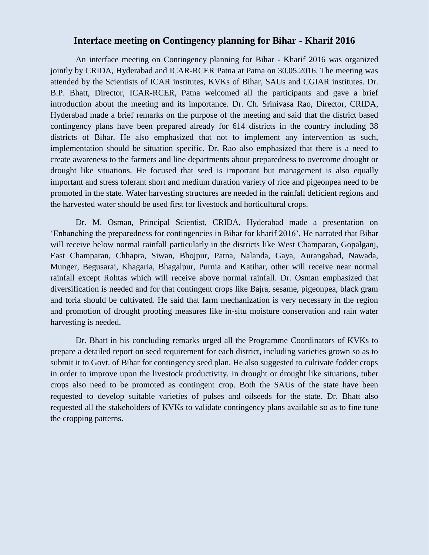## **Interface meeting on Contingency planning for Bihar - Kharif 2016**

An interface meeting on Contingency planning for Bihar - Kharif 2016 was organized jointly by CRIDA, Hyderabad and ICAR-RCER Patna at Patna on 30.05.2016. The meeting was attended by the Scientists of ICAR institutes, KVKs of Bihar, SAUs and CGIAR institutes. Dr. B.P. Bhatt, Director, ICAR-RCER, Patna welcomed all the participants and gave a brief introduction about the meeting and its importance. Dr. Ch. Srinivasa Rao, Director, CRIDA, Hyderabad made a brief remarks on the purpose of the meeting and said that the district based contingency plans have been prepared already for 614 districts in the country including 38 districts of Bihar. He also emphasized that not to implement any intervention as such, implementation should be situation specific. Dr. Rao also emphasized that there is a need to create awareness to the farmers and line departments about preparedness to overcome drought or drought like situations. He focused that seed is important but management is also equally important and stress tolerant short and medium duration variety of rice and pigeonpea need to be promoted in the state. Water harvesting structures are needed in the rainfall deficient regions and the harvested water should be used first for livestock and horticultural crops.

Dr. M. Osman, Principal Scientist, CRIDA, Hyderabad made a presentation on 'Enhanching the preparedness for contingencies in Bihar for kharif 2016'. He narrated that Bihar will receive below normal rainfall particularly in the districts like West Champaran, Gopalganj, East Champaran, Chhapra, Siwan, Bhojpur, Patna, Nalanda, Gaya, Aurangabad, Nawada, Munger, Begusarai, Khagaria, Bhagalpur, Purnia and Katihar, other will receive near normal rainfall except Rohtas which will receive above normal rainfall. Dr. Osman emphasized that diversification is needed and for that contingent crops like Bajra, sesame, pigeonpea, black gram and toria should be cultivated. He said that farm mechanization is very necessary in the region and promotion of drought proofing measures like in-situ moisture conservation and rain water harvesting is needed.

Dr. Bhatt in his concluding remarks urged all the Programme Coordinators of KVKs to prepare a detailed report on seed requirement for each district, including varieties grown so as to submit it to Govt. of Bihar for contingency seed plan. He also suggested to cultivate fodder crops in order to improve upon the livestock productivity. In drought or drought like situations, tuber crops also need to be promoted as contingent crop. Both the SAUs of the state have been requested to develop suitable varieties of pulses and oilseeds for the state. Dr. Bhatt also requested all the stakeholders of KVKs to validate contingency plans available so as to fine tune the cropping patterns.